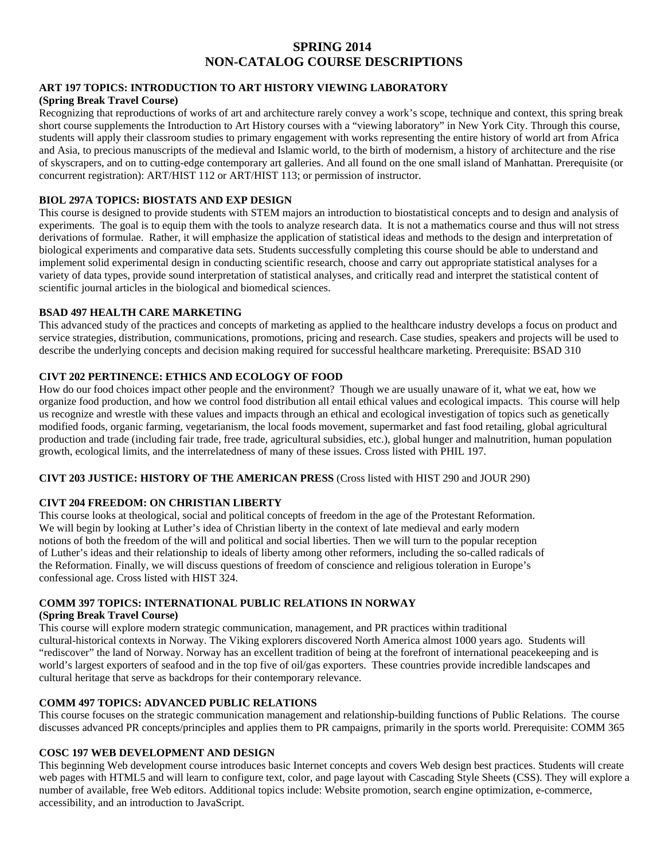# **SPRING 2014 NON-CATALOG COURSE DESCRIPTIONS**

#### **ART 197 TOPICS: INTRODUCTION TO ART HISTORY VIEWING LABORATORY**

## **(Spring Break Travel Course)**

Recognizing that reproductions of works of art and architecture rarely convey a work's scope, technique and context, this spring break short course supplements the Introduction to Art History courses with a "viewing laboratory" in New York City. Through this course, students will apply their classroom studies to primary engagement with works representing the entire history of world art from Africa and Asia, to precious manuscripts of the medieval and Islamic world, to the birth of modernism, a history of architecture and the rise of skyscrapers, and on to cutting-edge contemporary art galleries. And all found on the one small island of Manhattan. Prerequisite (or concurrent registration): ART/HIST 112 or ART/HIST 113; or permission of instructor.

#### **BIOL 297A TOPICS: BIOSTATS AND EXP DESIGN**

This course is designed to provide students with STEM majors an introduction to biostatistical concepts and to design and analysis of experiments. The goal is to equip them with the tools to analyze research data. It is not a mathematics course and thus will not stress derivations of formulae. Rather, it will emphasize the application of statistical ideas and methods to the design and interpretation of biological experiments and comparative data sets. Students successfully completing this course should be able to understand and implement solid experimental design in conducting scientific research, choose and carry out appropriate statistical analyses for a variety of data types, provide sound interpretation of statistical analyses, and critically read and interpret the statistical content of scientific journal articles in the biological and biomedical sciences.

### **BSAD 497 HEALTH CARE MARKETING**

This advanced study of the practices and concepts of marketing as applied to the healthcare industry develops a focus on product and service strategies, distribution, communications, promotions, pricing and research. Case studies, speakers and projects will be used to describe the underlying concepts and decision making required for successful healthcare marketing. Prerequisite: BSAD 310

## **CIVT 202 PERTINENCE: ETHICS AND ECOLOGY OF FOOD**

How do our food choices impact other people and the environment? Though we are usually unaware of it, what we eat, how we organize food production, and how we control food distribution all entail ethical values and ecological impacts. This course will help us recognize and wrestle with these values and impacts through an ethical and ecological investigation of topics such as genetically modified foods, organic farming, vegetarianism, the local foods movement, supermarket and fast food retailing, global agricultural production and trade (including fair trade, free trade, agricultural subsidies, etc.), global hunger and malnutrition, human population growth, ecological limits, and the interrelatedness of many of these issues. Cross listed with PHIL 197.

### **CIVT 203 JUSTICE: HISTORY OF THE AMERICAN PRESS** (Cross listed with HIST 290 and JOUR 290)

## **CIVT 204 FREEDOM: ON CHRISTIAN LIBERTY**

This course looks at theological, social and political concepts of freedom in the age of the Protestant Reformation. We will begin by looking at Luther's idea of Christian liberty in the context of late medieval and early modern notions of both the freedom of the will and political and social liberties. Then we will turn to the popular reception of Luther's ideas and their relationship to ideals of liberty among other reformers, including the so-called radicals of the Reformation. Finally, we will discuss questions of freedom of conscience and religious toleration in Europe's confessional age. Cross listed with HIST 324.

### **COMM 397 TOPICS: INTERNATIONAL PUBLIC RELATIONS IN NORWAY**

#### **(Spring Break Travel Course)**

This course will explore modern strategic communication, management, and PR practices within traditional cultural-historical contexts in Norway. The Viking explorers discovered North America almost 1000 years ago. Students will "rediscover" the land of Norway. Norway has an excellent tradition of being at the forefront of international peacekeeping and is world's largest exporters of seafood and in the top five of oil/gas exporters. These countries provide incredible landscapes and cultural heritage that serve as backdrops for their contemporary relevance.

#### **COMM 497 TOPICS: ADVANCED PUBLIC RELATIONS**

This course focuses on the strategic communication management and relationship-building functions of Public Relations. The course discusses advanced PR concepts/principles and applies them to PR campaigns, primarily in the sports world. Prerequisite: COMM 365

#### **COSC 197 WEB DEVELOPMENT AND DESIGN**

This beginning Web development course introduces basic Internet concepts and covers Web design best practices. Students will create web pages with HTML5 and will learn to configure text, color, and page layout with Cascading Style Sheets (CSS). They will explore a number of available, free Web editors. Additional topics include: Website promotion, search engine optimization, e-commerce, accessibility, and an introduction to JavaScript.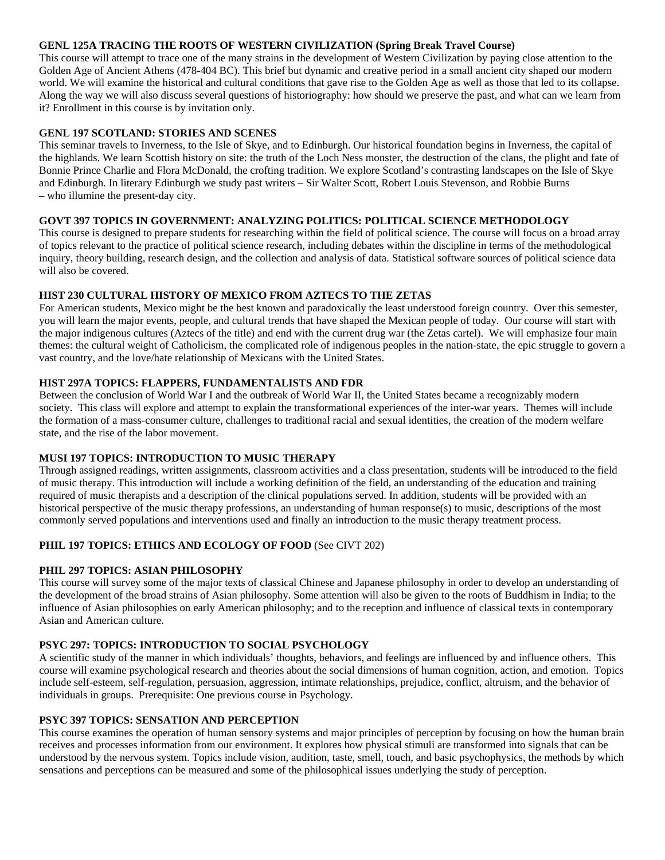#### **GENL 125A TRACING THE ROOTS OF WESTERN CIVILIZATION (Spring Break Travel Course)**

This course will attempt to trace one of the many strains in the development of Western Civilization by paying close attention to the Golden Age of Ancient Athens (478-404 BC). This brief but dynamic and creative period in a small ancient city shaped our modern world. We will examine the historical and cultural conditions that gave rise to the Golden Age as well as those that led to its collapse. Along the way we will also discuss several questions of historiography: how should we preserve the past, and what can we learn from it? Enrollment in this course is by invitation only.

#### **GENL 197 SCOTLAND: STORIES AND SCENES**

This seminar travels to Inverness, to the Isle of Skye, and to Edinburgh. Our historical foundation begins in Inverness, the capital of the highlands. We learn Scottish history on site: the truth of the Loch Ness monster, the destruction of the clans, the plight and fate of Bonnie Prince Charlie and Flora McDonald, the crofting tradition. We explore Scotland's contrasting landscapes on the Isle of Skye and Edinburgh. In literary Edinburgh we study past writers – Sir Walter Scott, Robert Louis Stevenson, and Robbie Burns – who illumine the present‐day city.

### **GOVT 397 TOPICS IN GOVERNMENT: ANALYZING POLITICS: POLITICAL SCIENCE METHODOLOGY**

This course is designed to prepare students for researching within the field of political science. The course will focus on a broad array of topics relevant to the practice of political science research, including debates within the discipline in terms of the methodological inquiry, theory building, research design, and the collection and analysis of data. Statistical software sources of political science data will also be covered.

### **HIST 230 CULTURAL HISTORY OF MEXICO FROM AZTECS TO THE ZETAS**

For American students, Mexico might be the best known and paradoxically the least understood foreign country. Over this semester, you will learn the major events, people, and cultural trends that have shaped the Mexican people of today. Our course will start with the major indigenous cultures (Aztecs of the title) and end with the current drug war (the Zetas cartel). We will emphasize four main themes: the cultural weight of Catholicism, the complicated role of indigenous peoples in the nation-state, the epic struggle to govern a vast country, and the love/hate relationship of Mexicans with the United States.

### **HIST 297A TOPICS: FLAPPERS, FUNDAMENTALISTS AND FDR**

Between the conclusion of World War I and the outbreak of World War II, the United States became a recognizably modern society. This class will explore and attempt to explain the transformational experiences of the inter-war years. Themes will include the formation of a mass-consumer culture, challenges to traditional racial and sexual identities, the creation of the modern welfare state, and the rise of the labor movement.

#### **MUSI 197 TOPICS: INTRODUCTION TO MUSIC THERAPY**

Through assigned readings, written assignments, classroom activities and a class presentation, students will be introduced to the field of music therapy. This introduction will include a working definition of the field, an understanding of the education and training required of music therapists and a description of the clinical populations served. In addition, students will be provided with an historical perspective of the music therapy professions, an understanding of human response(s) to music, descriptions of the most commonly served populations and interventions used and finally an introduction to the music therapy treatment process.

## **PHIL 197 TOPICS: ETHICS AND ECOLOGY OF FOOD** (See CIVT 202)

## **PHIL 297 TOPICS: ASIAN PHILOSOPHY**

This course will survey some of the major texts of classical Chinese and Japanese philosophy in order to develop an understanding of the development of the broad strains of Asian philosophy. Some attention will also be given to the roots of Buddhism in India; to the influence of Asian philosophies on early American philosophy; and to the reception and influence of classical texts in contemporary Asian and American culture.

## **PSYC 297: TOPICS: INTRODUCTION TO SOCIAL PSYCHOLOGY**

A scientific study of the manner in which individuals' thoughts, behaviors, and feelings are influenced by and influence others. This course will examine psychological research and theories about the social dimensions of human cognition, action, and emotion. Topics include self-esteem, self-regulation, persuasion, aggression, intimate relationships, prejudice, conflict, altruism, and the behavior of individuals in groups. Prerequisite: One previous course in Psychology.

#### **PSYC 397 TOPICS: SENSATION AND PERCEPTION**

This course examines the operation of human sensory systems and major principles of perception by focusing on how the human brain receives and processes information from our environment. It explores how physical stimuli are transformed into signals that can be understood by the nervous system. Topics include vision, audition, taste, smell, touch, and basic psychophysics, the methods by which sensations and perceptions can be measured and some of the philosophical issues underlying the study of perception.